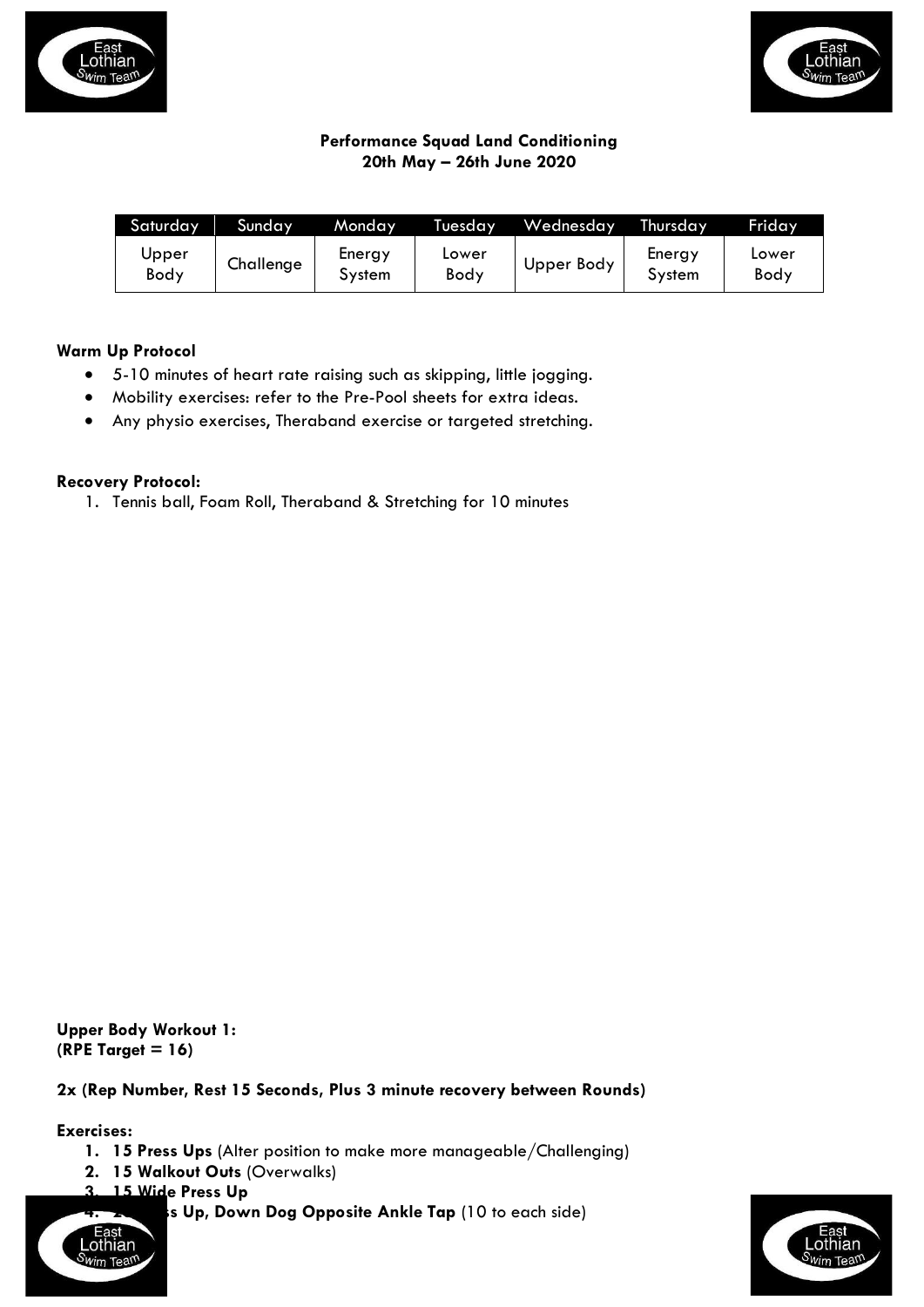



# **Performance Squad Land Conditioning 20th May – 26th June 2020**

| Saturday      | Sunday    | Monday           | Tuesday       | Wednesday  | Thursday         | Friday        |
|---------------|-----------|------------------|---------------|------------|------------------|---------------|
| Upper<br>Body | Challenge | Energy<br>System | Lower<br>Body | Upper Body | Energy<br>System | Lower<br>Body |

## **Warm Up Protocol**

- 5-10 minutes of heart rate raising such as skipping, little jogging.
- Mobility exercises: refer to the Pre-Pool sheets for extra ideas.
- Any physio exercises, Theraband exercise or targeted stretching.

## **Recovery Protocol:**

1. Tennis ball, Foam Roll, Theraband & Stretching for 10 minutes

**Upper Body Workout 1: (RPE Target = 16)**

**2x (Rep Number, Rest 15 Seconds, Plus 3 minute recovery between Rounds)**

**Exercises:**

- **1. 15 Press Ups** (Alter position to make more manageable/Challenging)
- **2. 15 Walkout Outs** (Overwalks)
	- **3. 15 Wide Press Up**
		- **4. 20 Press Up, Down Dog Opposite Ankle Tap** (10 to each side)



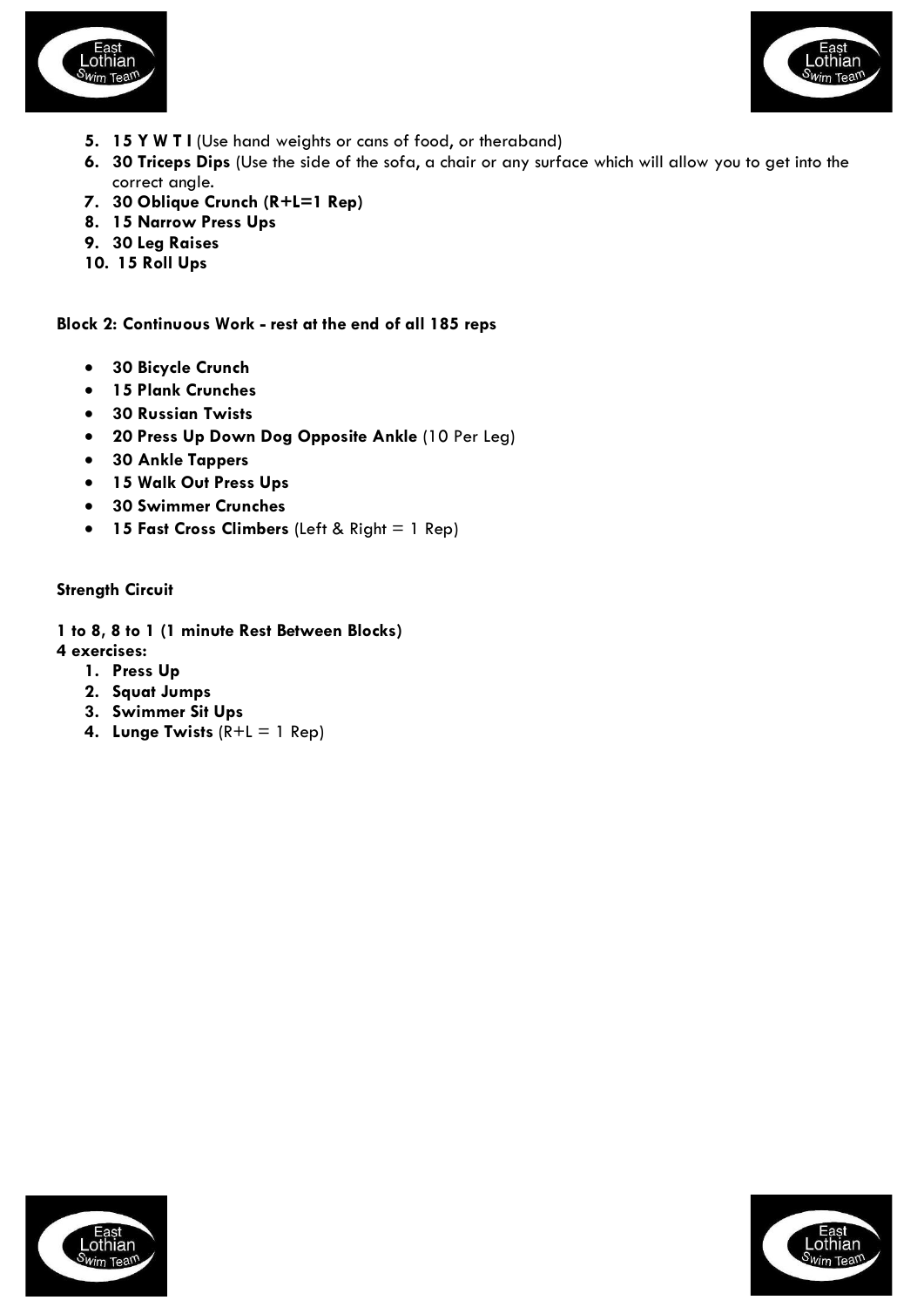



- **5. 15 Y W T I** (Use hand weights or cans of food, or theraband)
- **6. 30 Triceps Dips** (Use the side of the sofa, a chair or any surface which will allow you to get into the correct angle.
- **7. 30 Oblique Crunch (R+L=1 Rep)**
- **8. 15 Narrow Press Ups**
- **9. 30 Leg Raises**
- **10. 15 Roll Ups**

**Block 2: Continuous Work - rest at the end of all 185 reps**

- **30 Bicycle Crunch**
- **15 Plank Crunches**
- **30 Russian Twists**
- **20 Press Up Down Dog Opposite Ankle** (10 Per Leg)
- **30 Ankle Tappers**
- **15 Walk Out Press Ups**
- **30 Swimmer Crunches**
- **15 Fast Cross Climbers** (Left & Right = 1 Rep)

**Strength Circuit**

**1 to 8, 8 to 1 (1 minute Rest Between Blocks)**

- **4 exercises:**
	- **1. Press Up**
	- **2. Squat Jumps**
	- **3. Swimmer Sit Ups**
	- **4. Lunge Twists** (R+L = 1 Rep)



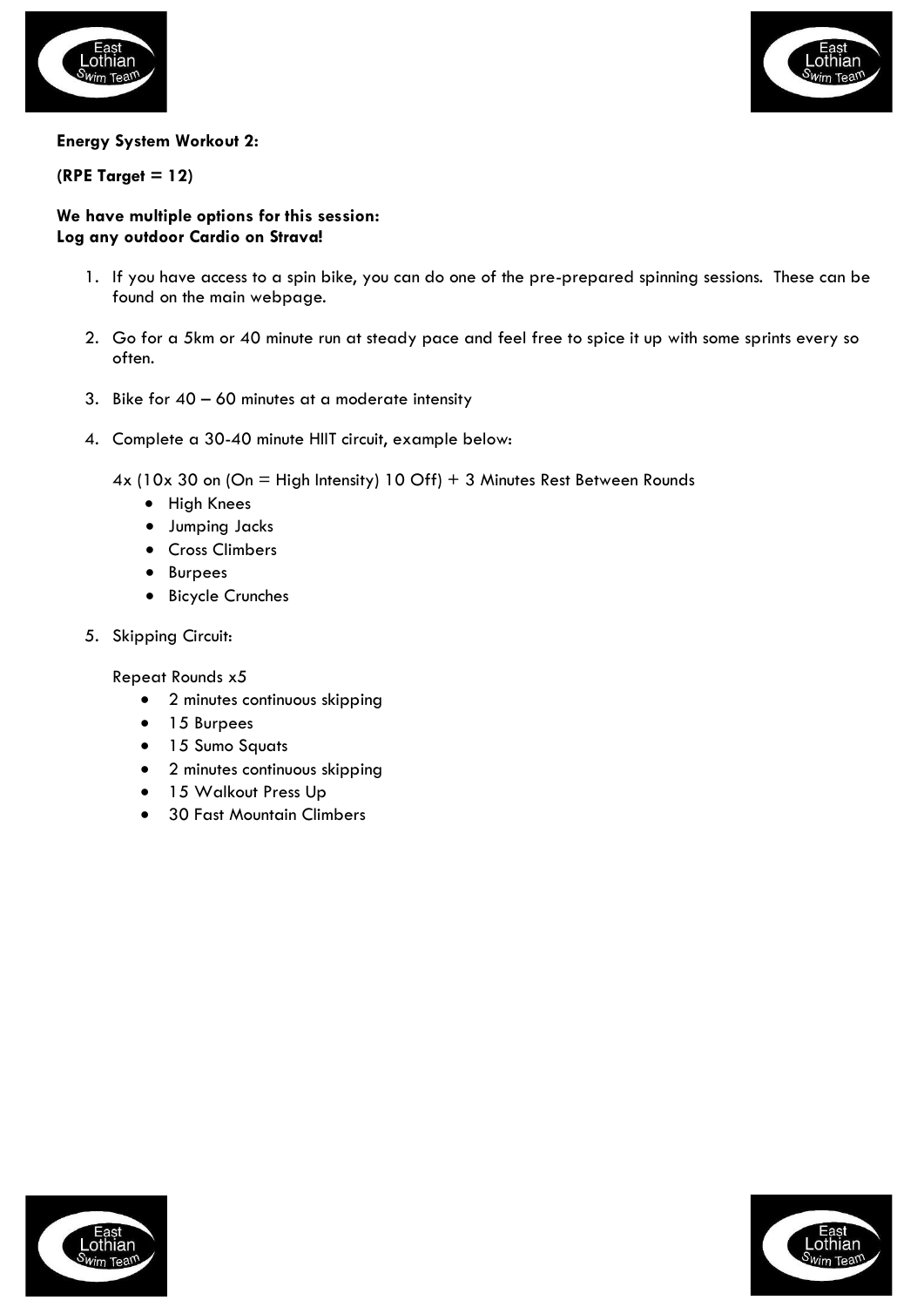



## **Energy System Workout 2:**

## **(RPE Target = 12)**

### **We have multiple options for this session: Log any outdoor Cardio on Strava!**

- 1. If you have access to a spin bike, you can do one of the pre-prepared spinning sessions. These can be found on the main webpage.
- 2. Go for a 5km or 40 minute run at steady pace and feel free to spice it up with some sprints every so often.
- 3. Bike for  $40 60$  minutes at a moderate intensity
- 4. Complete a 30-40 minute HIIT circuit, example below:
	- 4x (10x 30 on (On = High Intensity) 10 Off) + 3 Minutes Rest Between Rounds
		- High Knees
		- Jumping Jacks
		- Cross Climbers
		- Burpees
		- Bicycle Crunches
- 5. Skipping Circuit:

Repeat Rounds x5

- 2 minutes continuous skipping
- 15 Burpees
- 15 Sumo Squats
- 2 minutes continuous skipping
- 15 Walkout Press Up
- 30 Fast Mountain Climbers



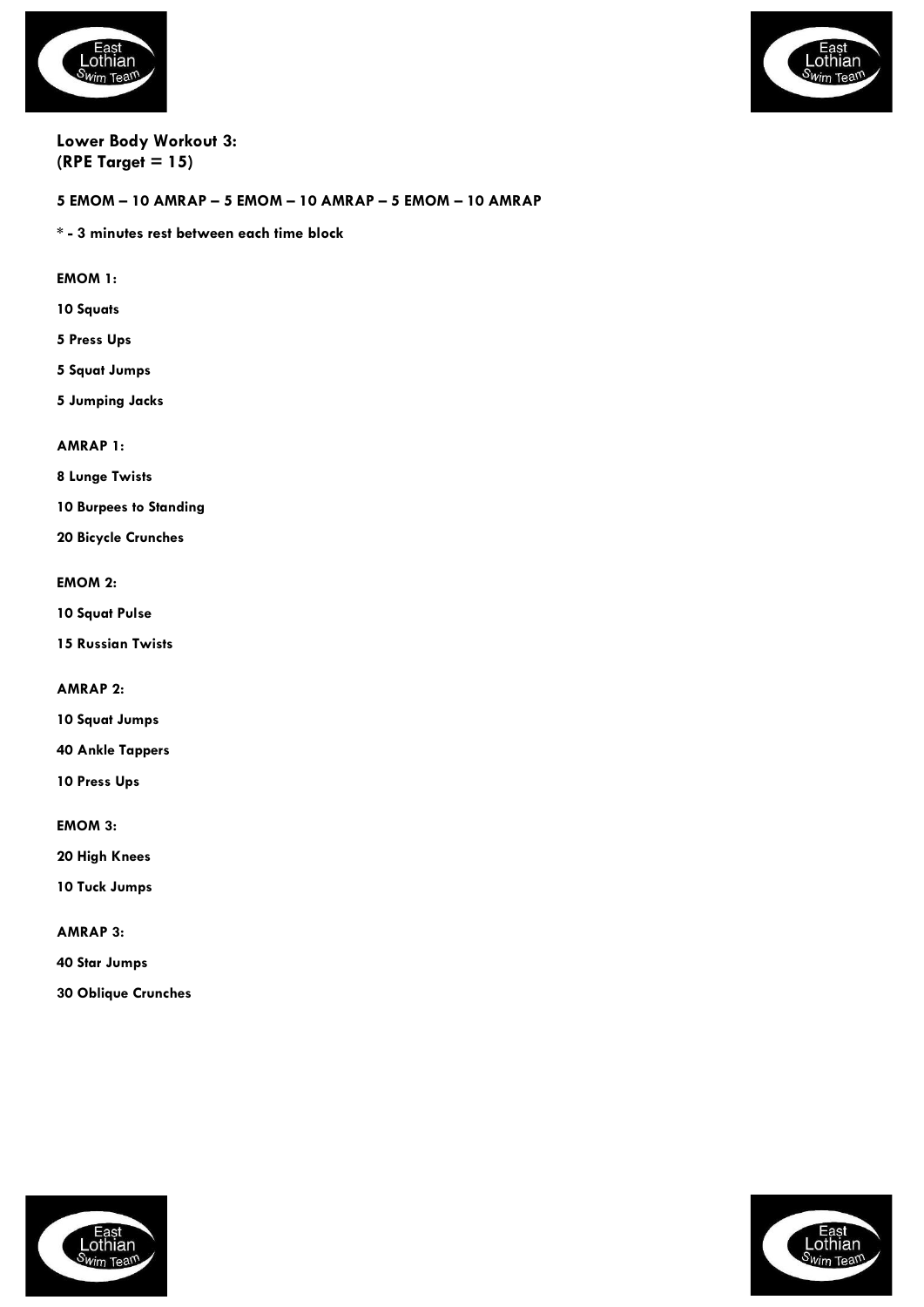



### **Lower Body Workout 3: (RPE Target = 15)**

### **5 EMOM – 10 AMRAP – 5 EMOM – 10 AMRAP – 5 EMOM – 10 AMRAP**

**\* - 3 minutes rest between each time block**

**EMOM 1:**

- **10 Squats**
- **5 Press Ups**
- **5 Squat Jumps**
- **5 Jumping Jacks**

**AMRAP 1:**

**8 Lunge Twists**

**10 Burpees to Standing**

**20 Bicycle Crunches**

#### **EMOM 2:**

**10 Squat Pulse**

**15 Russian Twists**

**AMRAP 2:**

**10 Squat Jumps**

**40 Ankle Tappers**

**10 Press Ups**

**EMOM 3:**

**20 High Knees**

**10 Tuck Jumps**

**AMRAP 3:**

**40 Star Jumps**

**30 Oblique Crunches**



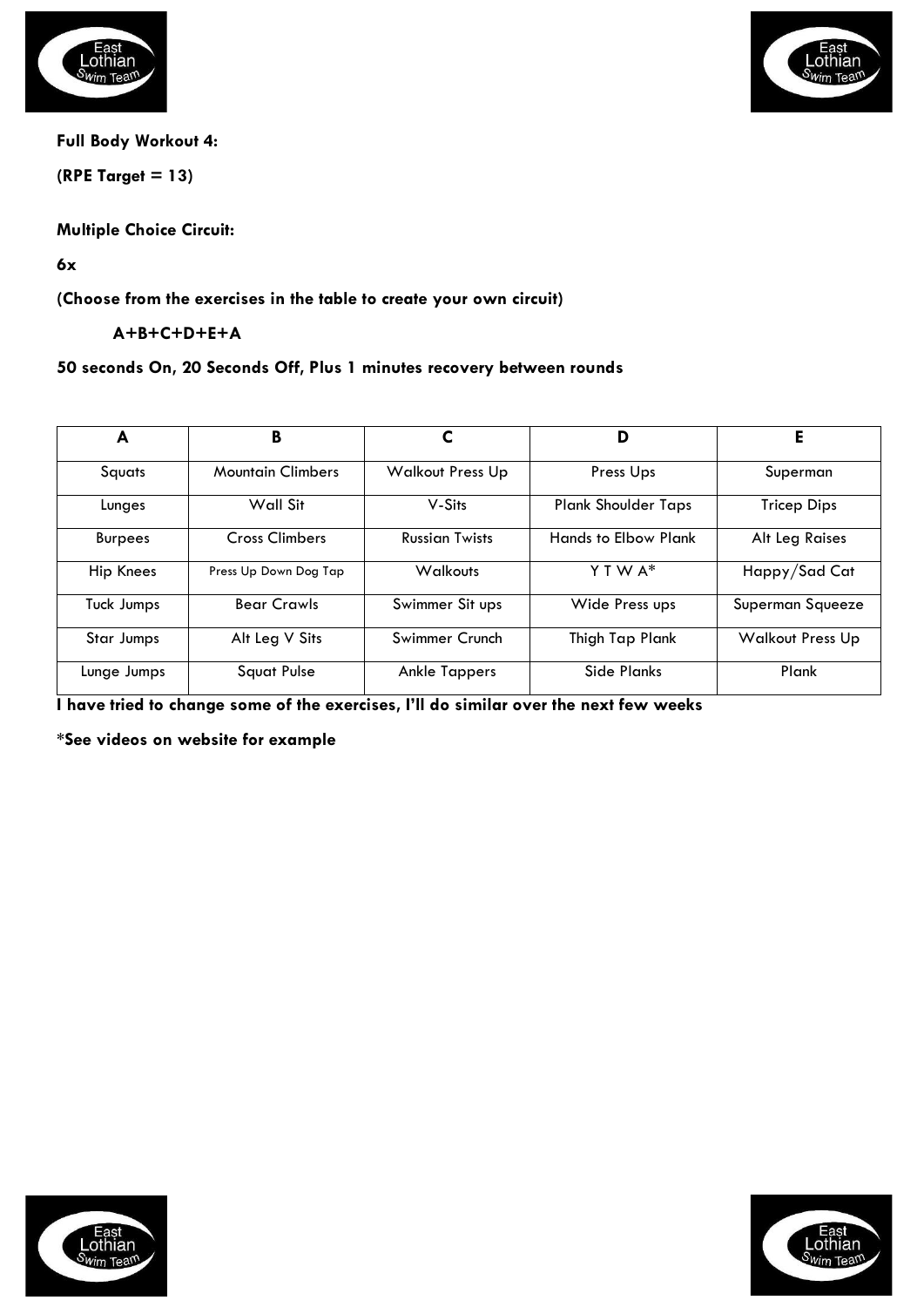



**Full Body Workout 4:**

**(RPE Target = 13)**

**Multiple Choice Circuit:** 

**6x**

**(Choose from the exercises in the table to create your own circuit)**

**A+B+C+D+E+A** 

## **50 seconds On, 20 Seconds Off, Plus 1 minutes recovery between rounds**

| A                | В                        |                         | D                           | Е                       |
|------------------|--------------------------|-------------------------|-----------------------------|-------------------------|
| Squats           | <b>Mountain Climbers</b> | <b>Walkout Press Up</b> | Press Ups                   | Superman                |
| Lunges           | Wall Sit                 | V-Sits                  | <b>Plank Shoulder Taps</b>  | Tricep Dips             |
| <b>Burpees</b>   | <b>Cross Climbers</b>    | <b>Russian Twists</b>   | <b>Hands to Elbow Plank</b> | Alt Leg Raises          |
| <b>Hip Knees</b> | Press Up Down Dog Tap    | <b>Walkouts</b>         | Y T W A*                    | Happy/Sad Cat           |
| Tuck Jumps       | <b>Bear Crawls</b>       | Swimmer Sit ups         | Wide Press ups              | Superman Squeeze        |
| Star Jumps       | Alt Leg V Sits           | Swimmer Crunch          | Thigh Tap Plank             | <b>Walkout Press Up</b> |
| Lunge Jumps      | <b>Squat Pulse</b>       | <b>Ankle Tappers</b>    | Side Planks                 | Plank                   |

**I have tried to change some of the exercises, I'll do similar over the next few weeks**

**\*See videos on website for example**



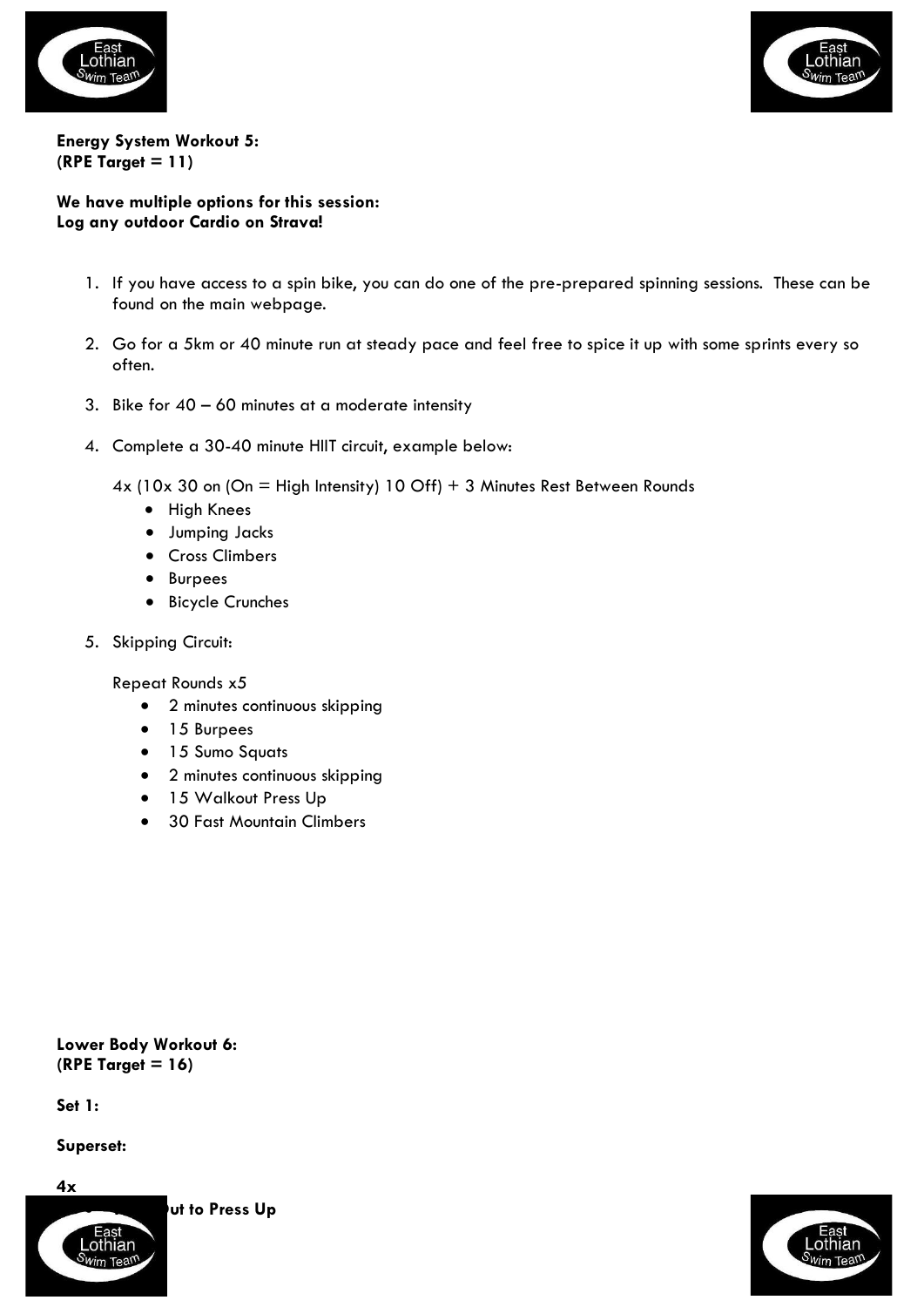



**Energy System Workout 5: (RPE Target = 11)**

## **We have multiple options for this session: Log any outdoor Cardio on Strava!**

- 1. If you have access to a spin bike, you can do one of the pre-prepared spinning sessions. These can be found on the main webpage.
- 2. Go for a 5km or 40 minute run at steady pace and feel free to spice it up with some sprints every so often.
- 3. Bike for  $40 60$  minutes at a moderate intensity
- 4. Complete a 30-40 minute HIIT circuit, example below:
	- $4x$  (10x 30 on (On = High Intensity) 10 Off) + 3 Minutes Rest Between Rounds
		- High Knees
		- Jumping Jacks
		- Cross Climbers
		- Burpees
		- Bicycle Crunches
- 5. Skipping Circuit:

Repeat Rounds x5

- 2 minutes continuous skipping
- 15 Burpees
- 15 Sumo Squats
- 2 minutes continuous skipping
- 15 Walkout Press Up
- 30 Fast Mountain Climbers

**Lower Body Workout 6: (RPE Target = 16)**

**Set 1:**

**Superset:**